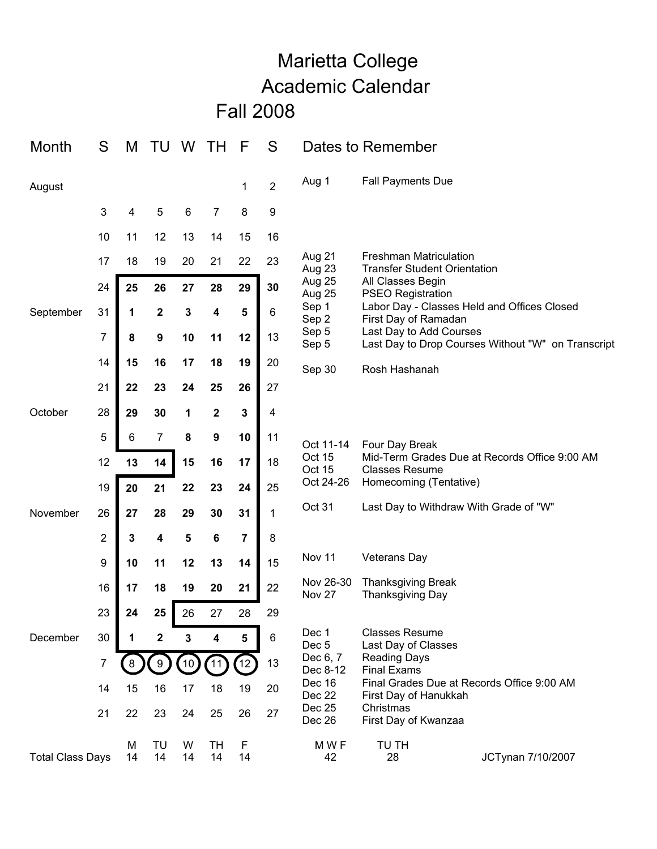## Marietta College Academic Calendar Fall 2008

| Month                   | S              | M       | TU          | W               | TН              | F               | S              |                                            | Dates to Remember                                                                                                                                    |                                        |
|-------------------------|----------------|---------|-------------|-----------------|-----------------|-----------------|----------------|--------------------------------------------|------------------------------------------------------------------------------------------------------------------------------------------------------|----------------------------------------|
| August                  |                |         |             |                 |                 | 1               | $\overline{2}$ | Aug 1                                      | <b>Fall Payments Due</b>                                                                                                                             |                                        |
|                         | 3              | 4       | 5           | 6               | 7               | 8               | 9              |                                            |                                                                                                                                                      |                                        |
|                         | 10             | 11      | 12          | 13              | 14              | 15              | 16             |                                            |                                                                                                                                                      |                                        |
|                         | 17             | 18      | 19          | 20              | 21              | 22              | 23             | Aug 21<br>Aug 23                           | <b>Freshman Matriculation</b><br><b>Transfer Student Orientation</b>                                                                                 |                                        |
|                         | 24             | 25      | 26          | 27              | 28              | 29              | 30             | Aug 25<br>Aug 25                           | All Classes Begin<br><b>PSEO Registration</b>                                                                                                        |                                        |
| September               | 31             | 1       | $\mathbf 2$ | 3               | 4               | 5               | 6              | Sep 1<br>Sep 2<br>Sep 5<br>Sep 5           | Labor Day - Classes Held and Offices Closed<br>First Day of Ramadan<br>Last Day to Add Courses<br>Last Day to Drop Courses Without "W" on Transcript |                                        |
|                         | $\overline{7}$ | 8       | 9           | 10              | 11              | 12              | 13             |                                            |                                                                                                                                                      |                                        |
|                         | 14             | 15      | 16          | 17              | 18              | 19              | 20             | Sep 30                                     | Rosh Hashanah                                                                                                                                        |                                        |
|                         | 21             | 22      | 23          | 24              | 25              | 26              | 27             |                                            |                                                                                                                                                      |                                        |
| October                 | 28             | 29      | 30          | 1               | $\mathbf 2$     | 3               | 4              |                                            |                                                                                                                                                      |                                        |
|                         | 5              | 6       | 7           | 8               | 9               | 10              | 11             | Oct 11-14<br>Oct 15<br>Oct 15<br>Oct 24-26 | Four Day Break<br>Mid-Term Grades Due at Records Office 9:00 AM<br><b>Classes Resume</b><br>Homecoming (Tentative)                                   |                                        |
|                         | 12             | 13      | 14          | 15              | 16              | 17              | 18             |                                            |                                                                                                                                                      |                                        |
|                         | 19             | 20      | 21          | 22              | 23              | 24              | 25             |                                            |                                                                                                                                                      |                                        |
| November                | 26             | 27      | 28          | 29              | 30              | 31              | $\mathbf 1$    | Oct 31                                     |                                                                                                                                                      | Last Day to Withdraw With Grade of "W" |
|                         | $\overline{2}$ | 3       | 4           | 5               | $\bf 6$         | 7               | 8              |                                            |                                                                                                                                                      |                                        |
|                         | 9              | 10      | 11          | 12              | 13              | 14              | 15             | Nov 11                                     | <b>Veterans Day</b>                                                                                                                                  |                                        |
|                         | 16             | 17      | 18          | 19              | 20              | 21              | 22             | Nov 26-30<br>Nov 27                        | <b>Thanksgiving Break</b><br>Thanksgiving Day                                                                                                        |                                        |
|                         | 23             | 24      | 25          | 26              | 27              | 28              | 29             |                                            |                                                                                                                                                      |                                        |
| December                | 30             | 1       | 2           | 3               | 4               | 5               | $\,6$          | Dec 1<br>Dec <sub>5</sub>                  | <b>Classes Resume</b><br>Last Day of Classes                                                                                                         |                                        |
|                         | 7              |         | 9           | 10 <sub>2</sub> | 11              | 12 <sup>1</sup> | 13             | Dec 6, 7<br>Dec 8-12                       | <b>Reading Days</b><br><b>Final Exams</b>                                                                                                            |                                        |
|                         | 14             | 15      | 16          | 17              | 18              | 19              | 20             | Dec 16<br>Dec 22<br>Dec 25<br>Dec 26       | Final Grades Due at Records Office 9:00 AM<br>First Day of Hanukkah                                                                                  |                                        |
|                         | 21             | 22      | 23          | 24              | 25              | 26              | 27             |                                            | Christmas<br>First Day of Kwanzaa                                                                                                                    |                                        |
| <b>Total Class Days</b> |                | M<br>14 | TU<br>14    | W<br>14         | <b>TH</b><br>14 | F<br>14         |                | M W F<br>42                                | TU TH<br>28                                                                                                                                          | JCTynan 7/10/2007                      |